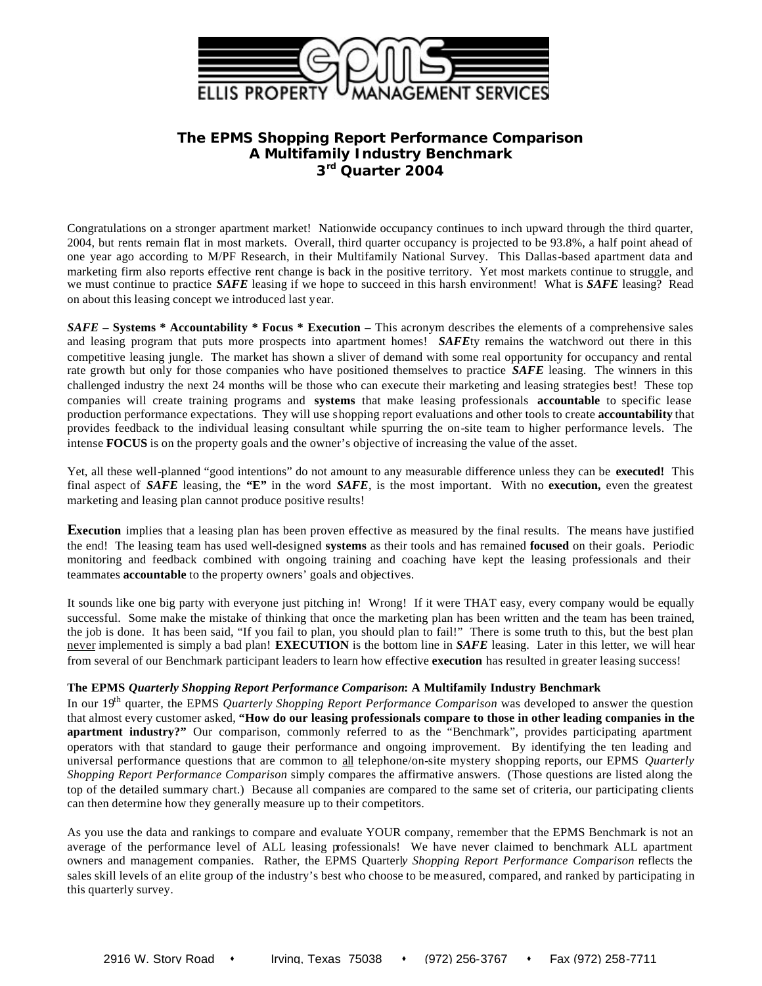

# **The EPMS** *Shopping Report Performance Comparison* **A Multifamily Industry Benchmark 3 rd Quarter 2004**

Congratulations on a stronger apartment market! Nationwide occupancy continues to inch upward through the third quarter, 2004, but rents remain flat in most markets. Overall, third quarter occupancy is projected to be 93.8%, a half point ahead of one year ago according to M/PF Research, in their Multifamily National Survey. This Dallas-based apartment data and marketing firm also reports effective rent change is back in the positive territory. Yet most markets continue to struggle, and we must continue to practice *SAFE* leasing if we hope to succeed in this harsh environment! What is *SAFE* leasing? Read on about this leasing concept we introduced last year.

*SAFE* **– Systems \* Accountability \* Focus \* Execution –** This acronym describes the elements of a comprehensive sales and leasing program that puts more prospects into apartment homes! *SAFE*ty remains the watchword out there in this competitive leasing jungle. The market has shown a sliver of demand with some real opportunity for occupancy and rental rate growth but only for those companies who have positioned themselves to practice *SAFE* leasing. The winners in this challenged industry the next 24 months will be those who can execute their marketing and leasing strategies best! These top companies will create training programs and **systems** that make leasing professionals **accountable** to specific lease production performance expectations. They will use shopping report evaluations and other tools to create **accountability** that provides feedback to the individual leasing consultant while spurring the on-site team to higher performance levels. The intense **FOCUS** is on the property goals and the owner's objective of increasing the value of the asset.

Yet, all these well-planned "good intentions" do not amount to any measurable difference unless they can be **executed!** This final aspect of *SAFE* leasing, the **"E"** in the word *SAFE*, is the most important. With no **execution,** even the greatest marketing and leasing plan cannot produce positive results!

**Execution** implies that a leasing plan has been proven effective as measured by the final results. The means have justified the end! The leasing team has used well-designed **systems** as their tools and has remained **focused** on their goals. Periodic monitoring and feedback combined with ongoing training and coaching have kept the leasing professionals and their teammates **accountable** to the property owners' goals and objectives.

It sounds like one big party with everyone just pitching in! Wrong! If it were THAT easy, every company would be equally successful. Some make the mistake of thinking that once the marketing plan has been written and the team has been trained, the job is done. It has been said, "If you fail to plan, you should plan to fail!" There is some truth to this, but the best plan never implemented is simply a bad plan! **EXECUTION** is the bottom line in *SAFE* leasing. Later in this letter, we will hear from several of our Benchmark participant leaders to learn how effective **execution** has resulted in greater leasing success!

# **The EPMS** *Quarterly Shopping Report Performance Comparison***: A Multifamily Industry Benchmark**

In our 19th quarter, the EPMS *Quarterly Shopping Report Performance Comparison* was developed to answer the question that almost every customer asked, **"How do our leasing professionals compare to those in other leading companies in the apartment industry?"** Our comparison, commonly referred to as the "Benchmark", provides participating apartment operators with that standard to gauge their performance and ongoing improvement. By identifying the ten leading and universal performance questions that are common to all telephone/on-site mystery shopping reports, our EPMS *Quarterly Shopping Report Performance Comparison* simply compares the affirmative answers. (Those questions are listed along the top of the detailed summary chart.) Because all companies are compared to the same set of criteria, our participating clients can then determine how they generally measure up to their competitors.

As you use the data and rankings to compare and evaluate YOUR company, remember that the EPMS Benchmark is not an average of the performance level of ALL leasing professionals! We have never claimed to benchmark ALL apartment owners and management companies. Rather, the EPMS Quarterl*y Shopping Report Performance Comparison* reflects the sales skill levels of an elite group of the industry's best who choose to be measured, compared, and ranked by participating in this quarterly survey.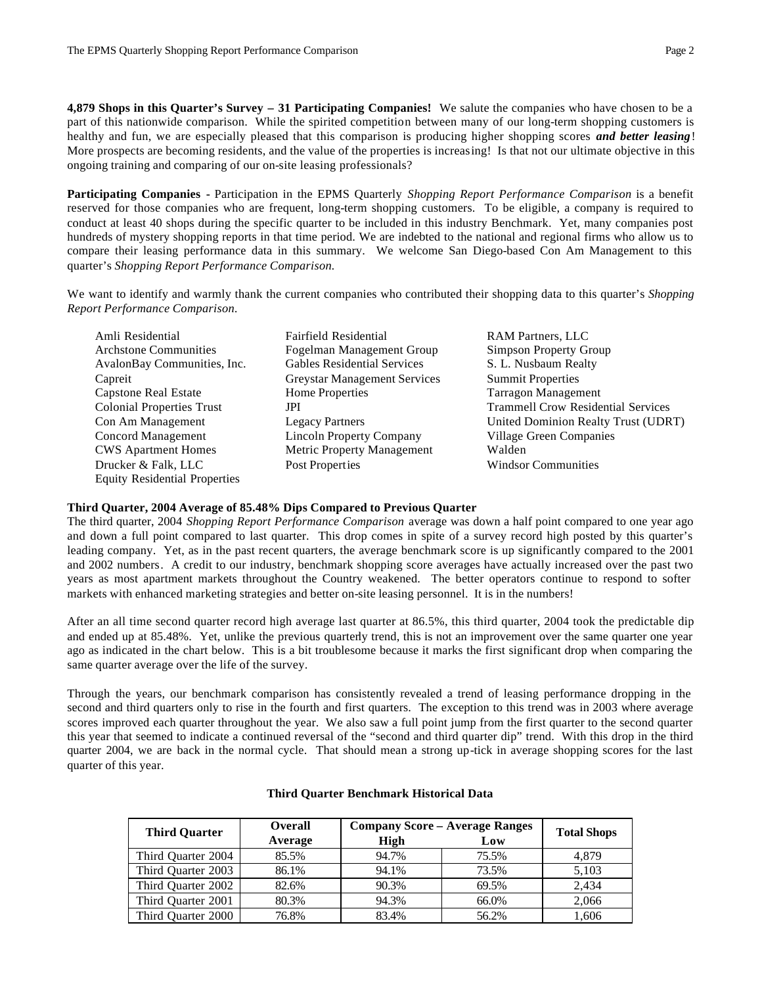**4,879 Shops in this Quarter's Survey – 31 Participating Companies!** We salute the companies who have chosen to be a part of this nationwide comparison. While the spirited competition between many of our long-term shopping customers is healthy and fun, we are especially pleased that this comparison is producing higher shopping scores *and better leasing*! More prospects are becoming residents, and the value of the properties is increasing! Is that not our ultimate objective in this ongoing training and comparing of our on-site leasing professionals?

**Participating Companies -** Participation in the EPMS Quarterly *Shopping Report Performance Comparison* is a benefit reserved for those companies who are frequent, long-term shopping customers. To be eligible, a company is required to conduct at least 40 shops during the specific quarter to be included in this industry Benchmark. Yet, many companies post hundreds of mystery shopping reports in that time period. We are indebted to the national and regional firms who allow us to compare their leasing performance data in this summary. We welcome San Diego-based Con Am Management to this quarter's *Shopping Report Performance Comparison.* 

We want to identify and warmly thank the current companies who contributed their shopping data to this quarter's *Shopping Report Performance Comparison.*

Amli Residential Fairfield Residential RAM Partners, LLC Equity Residential Properties

Archstone Communities Fogelman Management Group Simpson Property Group AvalonBay Communities, Inc. Gables Residential Services S. L. Nusbaum Realty Capreit Greystar Management Services Summit Properties Capstone Real Estate Home Properties Tarragon Management Concord Management Lincoln Property Company Village Green Companies CWS Apartment Homes Metric Property Management Walden Drucker & Falk, LLC Post Properties Windsor Communities

Colonial Properties Trust JPI Trammell Crow Residential Services Con Am Management Legacy Partners United Dominion Realty Trust (UDRT)

# **Third Quarter, 2004 Average of 85.48% Dips Compared to Previous Quarter**

The third quarter, 2004 *Shopping Report Performance Comparison* average was down a half point compared to one year ago and down a full point compared to last quarter. This drop comes in spite of a survey record high posted by this quarter's leading company. Yet, as in the past recent quarters, the average benchmark score is up significantly compared to the 2001 and 2002 numbers. A credit to our industry, benchmark shopping score averages have actually increased over the past two years as most apartment markets throughout the Country weakened. The better operators continue to respond to softer markets with enhanced marketing strategies and better on-site leasing personnel. It is in the numbers!

After an all time second quarter record high average last quarter at 86.5%, this third quarter, 2004 took the predictable dip and ended up at 85.48%. Yet, unlike the previous quarterly trend, this is not an improvement over the same quarter one year ago as indicated in the chart below. This is a bit troublesome because it marks the first significant drop when comparing the same quarter average over the life of the survey.

Through the years, our benchmark comparison has consistently revealed a trend of leasing performance dropping in the second and third quarters only to rise in the fourth and first quarters. The exception to this trend was in 2003 where average scores improved each quarter throughout the year. We also saw a full point jump from the first quarter to the second quarter this year that seemed to indicate a continued reversal of the "second and third quarter dip" trend. With this drop in the third quarter 2004, we are back in the normal cycle. That should mean a strong up-tick in average shopping scores for the last quarter of this year.

| <b>Third Quarter</b> | <b>Overall</b><br>Average | <b>Company Score - Average Ranges</b><br>High | <b>Total Shops</b> |       |
|----------------------|---------------------------|-----------------------------------------------|--------------------|-------|
| Third Ouarter 2004   | 85.5%                     | 94.7%                                         | 75.5%              | 4.879 |
| Third Quarter 2003   | 86.1%                     | 94.1%                                         | 73.5%              | 5,103 |
| Third Quarter 2002   | 82.6%                     | 90.3%                                         | 69.5%              | 2.434 |
| Third Quarter 2001   | 80.3%                     | 94.3%                                         | 66.0%              | 2,066 |
| Third Quarter 2000   | 76.8%                     | 83.4%                                         | 56.2%              | 1,606 |

### **Third Quarter Benchmark Historical Data**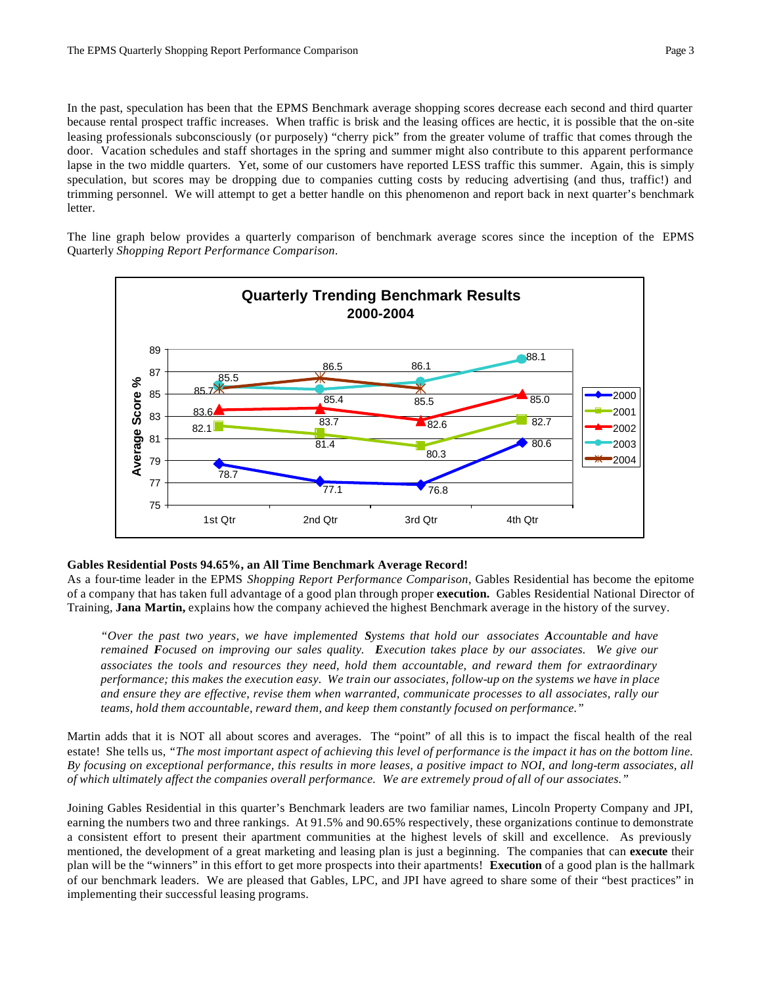In the past, speculation has been that the EPMS Benchmark average shopping scores decrease each second and third quarter because rental prospect traffic increases. When traffic is brisk and the leasing offices are hectic, it is possible that the on-site leasing professionals subconsciously (or purposely) "cherry pick" from the greater volume of traffic that comes through the door. Vacation schedules and staff shortages in the spring and summer might also contribute to this apparent performance lapse in the two middle quarters. Yet, some of our customers have reported LESS traffic this summer. Again, this is simply speculation, but scores may be dropping due to companies cutting costs by reducing advertising (and thus, traffic!) and trimming personnel. We will attempt to get a better handle on this phenomenon and report back in next quarter's benchmark letter.

The line graph below provides a quarterly comparison of benchmark average scores since the inception of the EPMS Quarterly *Shopping Report Performance Comparison*.



# **Gables Residential Posts 94.65%, an All Time Benchmark Average Record!**

As a four-time leader in the EPMS *Shopping Report Performance Comparison*, Gables Residential has become the epitome of a company that has taken full advantage of a good plan through proper **execution.** Gables Residential National Director of Training, **Jana Martin,** explains how the company achieved the highest Benchmark average in the history of the survey.

*"Over the past two years, we have implemented Systems that hold our associates Accountable and have remained Focused on improving our sales quality. Execution takes place by our associates. We give our associates the tools and resources they need, hold them accountable, and reward them for extraordinary performance; this makes the execution easy. We train our associates, follow-up on the systems we have in place and ensure they are effective, revise them when warranted, communicate processes to all associates, rally our teams, hold them accountable, reward them, and keep them constantly focused on performance."*

Martin adds that it is NOT all about scores and averages. The "point" of all this is to impact the fiscal health of the real estate! She tells us, *"The most important aspect of achieving this level of performance is the impact it has on the bottom line. By focusing on exceptional performance, this results in more leases, a positive impact to NOI, and long-term associates, all of which ultimately affect the companies overall performance. We are extremely proud of all of our associates."*

Joining Gables Residential in this quarter's Benchmark leaders are two familiar names, Lincoln Property Company and JPI, earning the numbers two and three rankings. At 91.5% and 90.65% respectively, these organizations continue to demonstrate a consistent effort to present their apartment communities at the highest levels of skill and excellence. As previously mentioned, the development of a great marketing and leasing plan is just a beginning. The companies that can **execute** their plan will be the "winners" in this effort to get more prospects into their apartments! **Execution** of a good plan is the hallmark of our benchmark leaders. We are pleased that Gables, LPC, and JPI have agreed to share some of their "best practices" in implementing their successful leasing programs.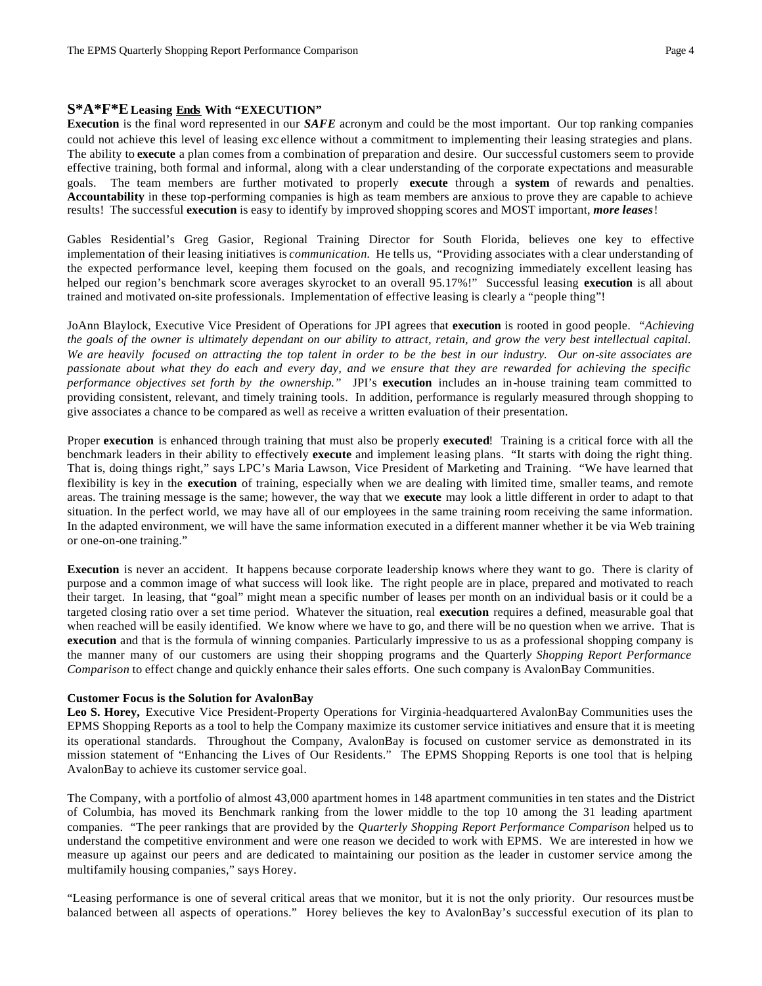# **S\*A\*F\*E Leasing Ends With "EXECUTION"**

**Execution** is the final word represented in our *SAFE* acronym and could be the most important. Our top ranking companies could not achieve this level of leasing exc ellence without a commitment to implementing their leasing strategies and plans. The ability to **execute** a plan comes from a combination of preparation and desire. Our successful customers seem to provide effective training, both formal and informal, along with a clear understanding of the corporate expectations and measurable goals. The team members are further motivated to properly **execute** through a **system** of rewards and penalties. **Accountability** in these top-performing companies is high as team members are anxious to prove they are capable to achieve results! The successful **execution** is easy to identify by improved shopping scores and MOST important, *more leases*!

Gables Residential's Greg Gasior, Regional Training Director for South Florida, believes one key to effective implementation of their leasing initiatives is *communication.* He tells us, "Providing associates with a clear understanding of the expected performance level, keeping them focused on the goals, and recognizing immediately excellent leasing has helped our region's benchmark score averages skyrocket to an overall 95.17%!" Successful leasing **execution** is all about trained and motivated on-site professionals. Implementation of effective leasing is clearly a "people thing"!

JoAnn Blaylock, Executive Vice President of Operations for JPI agrees that **execution** is rooted in good people. *"Achieving the goals of the owner is ultimately dependant on our ability to attract, retain, and grow the very best intellectual capital. We are heavily focused on attracting the top talent in order to be the best in our industry. Our on-site associates are passionate about what they do each and every day, and we ensure that they are rewarded for achieving the specific performance objectives set forth by the ownership."* JPI's **execution** includes an in-house training team committed to providing consistent, relevant, and timely training tools. In addition, performance is regularly measured through shopping to give associates a chance to be compared as well as receive a written evaluation of their presentation.

Proper **execution** is enhanced through training that must also be properly **executed**! Training is a critical force with all the benchmark leaders in their ability to effectively **execute** and implement leasing plans. "It starts with doing the right thing. That is, doing things right," says LPC's Maria Lawson, Vice President of Marketing and Training. "We have learned that flexibility is key in the **execution** of training, especially when we are dealing with limited time, smaller teams, and remote areas. The training message is the same; however, the way that we **execute** may look a little different in order to adapt to that situation. In the perfect world, we may have all of our employees in the same training room receiving the same information. In the adapted environment, we will have the same information executed in a different manner whether it be via Web training or one-on-one training."

**Execution** is never an accident. It happens because corporate leadership knows where they want to go. There is clarity of purpose and a common image of what success will look like. The right people are in place, prepared and motivated to reach their target. In leasing, that "goal" might mean a specific number of leases per month on an individual basis or it could be a targeted closing ratio over a set time period. Whatever the situation, real **execution** requires a defined, measurable goal that when reached will be easily identified. We know where we have to go, and there will be no question when we arrive. That is **execution** and that is the formula of winning companies. Particularly impressive to us as a professional shopping company is the manner many of our customers are using their shopping programs and the Quarterl*y Shopping Report Performance Comparison* to effect change and quickly enhance their sales efforts. One such company is AvalonBay Communities.

### **Customer Focus is the Solution for AvalonBay**

Leo S. Horey, Executive Vice President-Property Operations for Virginia-headquartered AvalonBay Communities uses the EPMS Shopping Reports as a tool to help the Company maximize its customer service initiatives and ensure that it is meeting its operational standards. Throughout the Company, AvalonBay is focused on customer service as demonstrated in its mission statement of "Enhancing the Lives of Our Residents." The EPMS Shopping Reports is one tool that is helping AvalonBay to achieve its customer service goal.

The Company, with a portfolio of almost 43,000 apartment homes in 148 apartment communities in ten states and the District of Columbia, has moved its Benchmark ranking from the lower middle to the top 10 among the 31 leading apartment companies. "The peer rankings that are provided by the *Quarterly Shopping Report Performance Comparison* helped us to understand the competitive environment and were one reason we decided to work with EPMS. We are interested in how we measure up against our peers and are dedicated to maintaining our position as the leader in customer service among the multifamily housing companies," says Horey.

"Leasing performance is one of several critical areas that we monitor, but it is not the only priority. Our resources must be balanced between all aspects of operations." Horey believes the key to AvalonBay's successful execution of its plan to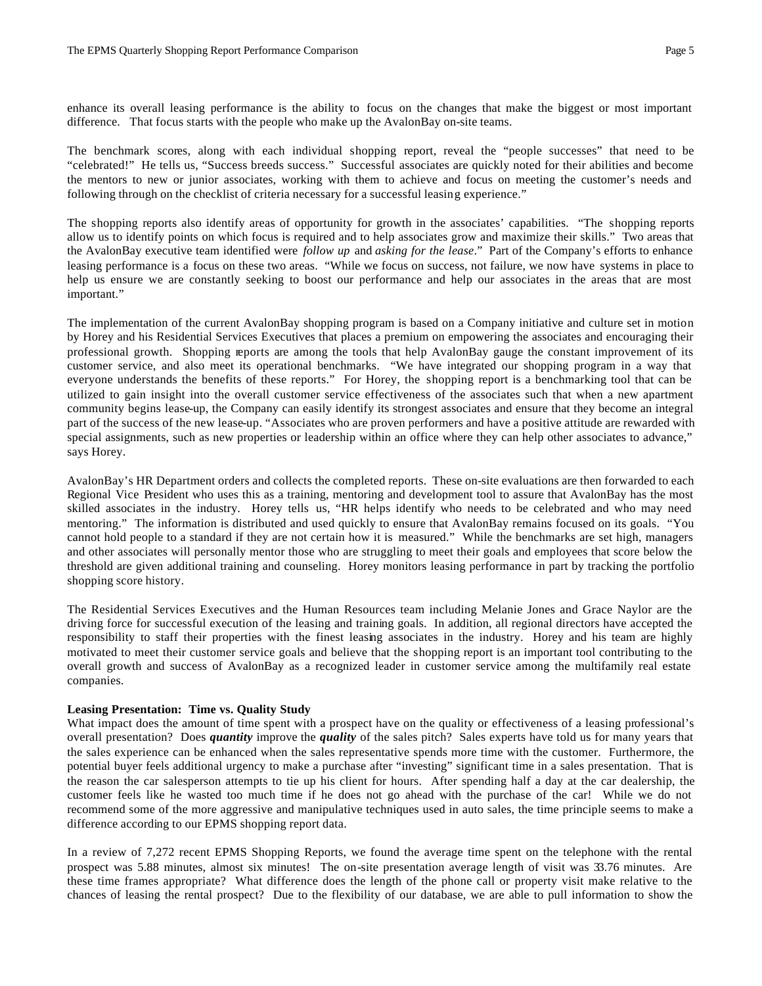enhance its overall leasing performance is the ability to focus on the changes that make the biggest or most important difference. That focus starts with the people who make up the AvalonBay on-site teams.

The benchmark scores, along with each individual shopping report, reveal the "people successes" that need to be "celebrated!" He tells us, "Success breeds success." Successful associates are quickly noted for their abilities and become the mentors to new or junior associates, working with them to achieve and focus on meeting the customer's needs and following through on the checklist of criteria necessary for a successful leasing experience."

The shopping reports also identify areas of opportunity for growth in the associates' capabilities. "The shopping reports allow us to identify points on which focus is required and to help associates grow and maximize their skills." Two areas that the AvalonBay executive team identified were *follow up* and *asking for the lease*." Part of the Company's efforts to enhance leasing performance is a focus on these two areas. "While we focus on success, not failure, we now have systems in place to help us ensure we are constantly seeking to boost our performance and help our associates in the areas that are most important."

The implementation of the current AvalonBay shopping program is based on a Company initiative and culture set in motion by Horey and his Residential Services Executives that places a premium on empowering the associates and encouraging their professional growth. Shopping reports are among the tools that help AvalonBay gauge the constant improvement of its customer service, and also meet its operational benchmarks. "We have integrated our shopping program in a way that everyone understands the benefits of these reports." For Horey, the shopping report is a benchmarking tool that can be utilized to gain insight into the overall customer service effectiveness of the associates such that when a new apartment community begins lease-up, the Company can easily identify its strongest associates and ensure that they become an integral part of the success of the new lease-up. "Associates who are proven performers and have a positive attitude are rewarded with special assignments, such as new properties or leadership within an office where they can help other associates to advance," says Horey.

AvalonBay's HR Department orders and collects the completed reports. These on-site evaluations are then forwarded to each Regional Vice President who uses this as a training, mentoring and development tool to assure that AvalonBay has the most skilled associates in the industry. Horey tells us, "HR helps identify who needs to be celebrated and who may need mentoring." The information is distributed and used quickly to ensure that AvalonBay remains focused on its goals. "You cannot hold people to a standard if they are not certain how it is measured." While the benchmarks are set high, managers and other associates will personally mentor those who are struggling to meet their goals and employees that score below the threshold are given additional training and counseling. Horey monitors leasing performance in part by tracking the portfolio shopping score history.

The Residential Services Executives and the Human Resources team including Melanie Jones and Grace Naylor are the driving force for successful execution of the leasing and training goals. In addition, all regional directors have accepted the responsibility to staff their properties with the finest leasing associates in the industry. Horey and his team are highly motivated to meet their customer service goals and believe that the shopping report is an important tool contributing to the overall growth and success of AvalonBay as a recognized leader in customer service among the multifamily real estate companies.

# **Leasing Presentation: Time vs. Quality Study**

What impact does the amount of time spent with a prospect have on the quality or effectiveness of a leasing professional's overall presentation? Does *quantity* improve the *quality* of the sales pitch? Sales experts have told us for many years that the sales experience can be enhanced when the sales representative spends more time with the customer. Furthermore, the potential buyer feels additional urgency to make a purchase after "investing" significant time in a sales presentation. That is the reason the car salesperson attempts to tie up his client for hours. After spending half a day at the car dealership, the customer feels like he wasted too much time if he does not go ahead with the purchase of the car! While we do not recommend some of the more aggressive and manipulative techniques used in auto sales, the time principle seems to make a difference according to our EPMS shopping report data.

In a review of 7,272 recent EPMS Shopping Reports, we found the average time spent on the telephone with the rental prospect was 5.88 minutes, almost six minutes! The on-site presentation average length of visit was 33.76 minutes. Are these time frames appropriate? What difference does the length of the phone call or property visit make relative to the chances of leasing the rental prospect? Due to the flexibility of our database, we are able to pull information to show the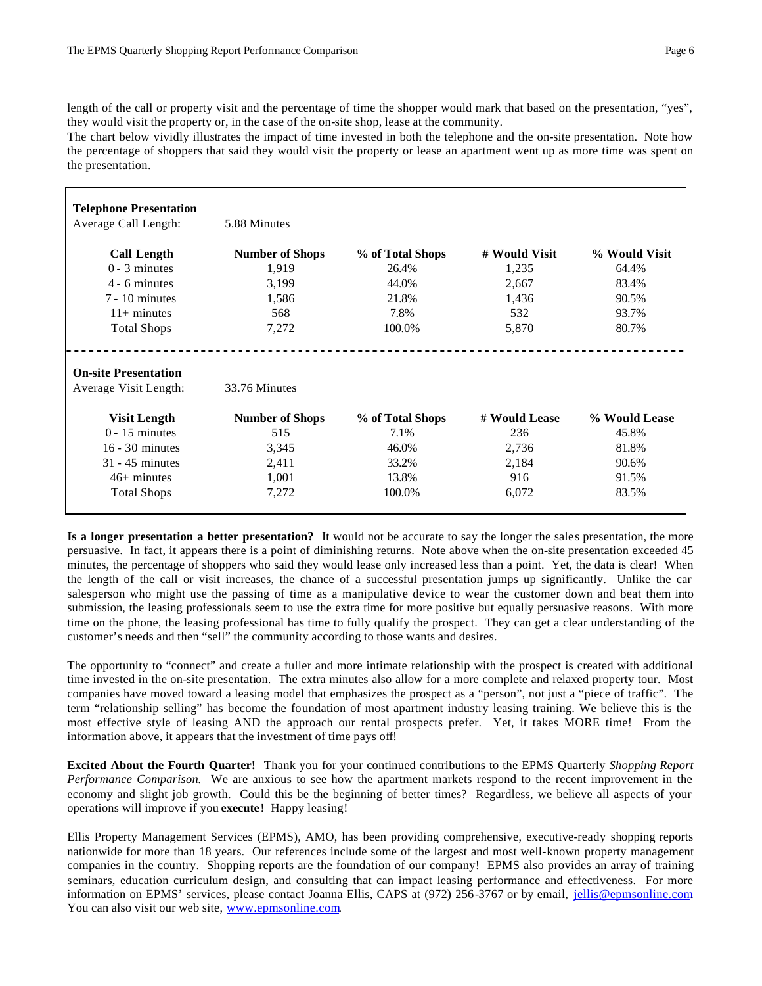length of the call or property visit and the percentage of time the shopper would mark that based on the presentation, "yes", they would visit the property or, in the case of the on-site shop, lease at the community.

The chart below vividly illustrates the impact of time invested in both the telephone and the on-site presentation. Note how the percentage of shoppers that said they would visit the property or lease an apartment went up as more time was spent on the presentation.

| <b>Telephone Presentation</b><br>Average Call Length: | 5.88 Minutes           |                  |               |               |  |
|-------------------------------------------------------|------------------------|------------------|---------------|---------------|--|
| <b>Call Length</b>                                    | <b>Number of Shops</b> | % of Total Shops | # Would Visit | % Would Visit |  |
| $0 - 3$ minutes                                       | 1,919                  | 26.4%            | 1,235         | 64.4%         |  |
| 4 - 6 minutes                                         | 3,199                  | 44.0%            | 2,667         | 83.4%         |  |
| $7 - 10$ minutes                                      | 1,586                  | 21.8%            | 1,436         | 90.5%         |  |
| $11+$ minutes                                         | 568                    | 7.8%             | 532           | 93.7%         |  |
| <b>Total Shops</b>                                    | 7,272                  | 100.0%           | 5,870         | 80.7%         |  |
| <b>On-site Presentation</b><br>Average Visit Length:  | 33.76 Minutes          |                  |               |               |  |
| <b>Visit Length</b>                                   | <b>Number of Shops</b> | % of Total Shops | # Would Lease | % Would Lease |  |
| $0 - 15$ minutes                                      | 515                    | 7.1%             | 236           | 45.8%         |  |
| $16 - 30$ minutes                                     | 3,345                  | 46.0%            | 2,736         | 81.8%         |  |
| $31 - 45$ minutes                                     | 2,411                  | 33.2%            | 2,184         | 90.6%         |  |
| $46+$ minutes                                         | 1,001                  | 13.8%            | 916           | 91.5%         |  |
| <b>Total Shops</b>                                    | 7,272                  | 100.0%           | 6,072         | 83.5%         |  |

**Is a longer presentation a better presentation?** It would not be accurate to say the longer the sales presentation, the more persuasive. In fact, it appears there is a point of diminishing returns. Note above when the on-site presentation exceeded 45 minutes, the percentage of shoppers who said they would lease only increased less than a point. Yet, the data is clear! When the length of the call or visit increases, the chance of a successful presentation jumps up significantly. Unlike the car salesperson who might use the passing of time as a manipulative device to wear the customer down and beat them into submission, the leasing professionals seem to use the extra time for more positive but equally persuasive reasons. With more time on the phone, the leasing professional has time to fully qualify the prospect. They can get a clear understanding of the customer's needs and then "sell" the community according to those wants and desires.

The opportunity to "connect" and create a fuller and more intimate relationship with the prospect is created with additional time invested in the on-site presentation. The extra minutes also allow for a more complete and relaxed property tour. Most companies have moved toward a leasing model that emphasizes the prospect as a "person", not just a "piece of traffic". The term "relationship selling" has become the foundation of most apartment industry leasing training. We believe this is the most effective style of leasing AND the approach our rental prospects prefer. Yet, it takes MORE time! From the information above, it appears that the investment of time pays off!

**Excited About the Fourth Quarter!** Thank you for your continued contributions to the EPMS Quarterly *Shopping Report Performance Comparison.* We are anxious to see how the apartment markets respond to the recent improvement in the economy and slight job growth. Could this be the beginning of better times? Regardless, we believe all aspects of your operations will improve if you **execute**! Happy leasing!

Ellis Property Management Services (EPMS), AMO, has been providing comprehensive, executive-ready shopping reports nationwide for more than 18 years. Our references include some of the largest and most well-known property management companies in the country. Shopping reports are the foundation of our company! EPMS also provides an array of training seminars, education curriculum design, and consulting that can impact leasing performance and effectiveness. For more information on EPMS' services, please contact Joanna Ellis, CAPS at (972) 256-3767 or by email, jellis@epmsonline.com. You can also visit our web site, www.epmsonline.com.